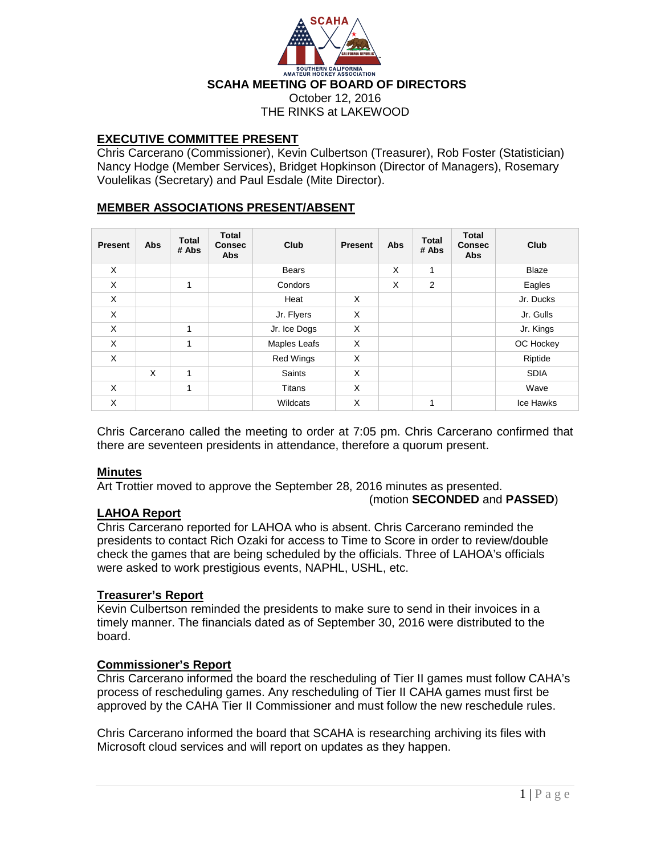

# **EXECUTIVE COMMITTEE PRESENT**

Chris Carcerano (Commissioner), Kevin Culbertson (Treasurer), Rob Foster (Statistician) Nancy Hodge (Member Services), Bridget Hopkinson (Director of Managers), Rosemary Voulelikas (Secretary) and Paul Esdale (Mite Director).

# **MEMBER ASSOCIATIONS PRESENT/ABSENT**

| <b>Present</b> | Abs | <b>Total</b><br># Abs | <b>Total</b><br><b>Consec</b><br><b>Abs</b> | Club             | <b>Present</b> | Abs | <b>Total</b><br># Abs | <b>Total</b><br><b>Consec</b><br><b>Abs</b> | Club         |
|----------------|-----|-----------------------|---------------------------------------------|------------------|----------------|-----|-----------------------|---------------------------------------------|--------------|
| X              |     |                       |                                             | <b>Bears</b>     |                | X   | 1                     |                                             | <b>Blaze</b> |
| X              |     | 1                     |                                             | Condors          |                | X   | 2                     |                                             | Eagles       |
| X              |     |                       |                                             | Heat             | X              |     |                       |                                             | Jr. Ducks    |
| X              |     |                       |                                             | Jr. Flyers       | X              |     |                       |                                             | Jr. Gulls    |
| X              |     | 1                     |                                             | Jr. Ice Dogs     | X              |     |                       |                                             | Jr. Kings    |
| X              |     | 1                     |                                             | Maples Leafs     | X              |     |                       |                                             | OC Hockey    |
| X              |     |                       |                                             | <b>Red Wings</b> | X              |     |                       |                                             | Riptide      |
|                | X   | 1                     |                                             | Saints           | X              |     |                       |                                             | <b>SDIA</b>  |
| X              |     | 1                     |                                             | <b>Titans</b>    | X              |     |                       |                                             | Wave         |
| X              |     |                       |                                             | Wildcats         | X              |     | 1                     |                                             | Ice Hawks    |

Chris Carcerano called the meeting to order at 7:05 pm. Chris Carcerano confirmed that there are seventeen presidents in attendance, therefore a quorum present.

## **Minutes**

Art Trottier moved to approve the September 28, 2016 minutes as presented. (motion **SECONDED** and **PASSED**)

## **LAHOA Report**

Chris Carcerano reported for LAHOA who is absent. Chris Carcerano reminded the presidents to contact Rich Ozaki for access to Time to Score in order to review/double check the games that are being scheduled by the officials. Three of LAHOA's officials were asked to work prestigious events, NAPHL, USHL, etc.

### **Treasurer's Report**

Kevin Culbertson reminded the presidents to make sure to send in their invoices in a timely manner. The financials dated as of September 30, 2016 were distributed to the board.

## **Commissioner's Report**

Chris Carcerano informed the board the rescheduling of Tier II games must follow CAHA's process of rescheduling games. Any rescheduling of Tier II CAHA games must first be approved by the CAHA Tier II Commissioner and must follow the new reschedule rules.

Chris Carcerano informed the board that SCAHA is researching archiving its files with Microsoft cloud services and will report on updates as they happen.